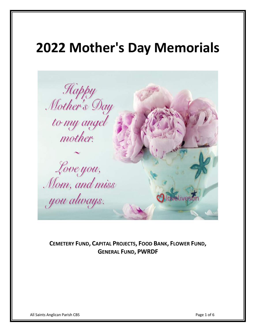## **2022 Mother's Day Memorials**



**CEMETERY FUND, CAPITAL PROJECTS, FOOD BANK, FLOWER FUND, GENERAL FUND, PWRDF**

All Saints Anglican Parish CBS Page 1 of 6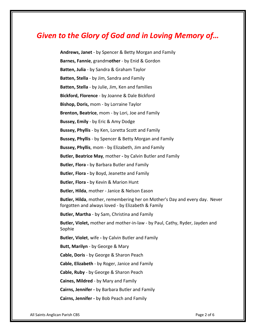## *Given to the Glory of God and in Loving Memory of…*

**Andrews, Janet** - by Spencer & Betty Morgan and Family **Barnes, Fannie**, grandm**other** - by Enid & Gordon **Batten, Julia** - by Sandra & Graham Taylor **Batten, Stella** - by Jim, Sandra and Family **Batten, Stella** - by Julie, Jim, Ken and families **Bickford, Florence** - by Joanne & Dale Bickford **Bishop, Doris,** mom - by Lorraine Taylor **Brenton, Beatrice**, mom - by Lori, Joe and Family **Bussey, Emily** - by Eric & Amy Dodge **Bussey, Phyllis** - by Ken, Loretta Scott and Family **Bussey, Phyllis** - by Spencer & Betty Morgan and Family **Bussey, Phyllis**, mom - by Elizabeth, Jim and Family **Butler, Beatrice May**, mother **-** by Calvin Butler and Family **Butler, Flora -** by Barbara Butler and Family **Butler, Flora -** by Boyd, Jeanette and Family **Butler, Flora -** by Kevin & Marion Hunt **Butler, Hilda**, mother - Janice & Nelson Eason **Butler, Hilda**, mother, remembering her on Mother's Day and every day. Never forgotten and always loved - by Elizabeth & Family **Butler, Martha** - by Sam, Christina and Family **Butler, Violet,** mother and mother-in-law - by Paul, Cathy, Ryder, Jayden and Sophie **Butler, Violet**, wife **-** by Calvin Butler and Family **Butt, Marilyn** - by George & Mary **Cable, Doris** - by George & Sharon Peach **Cable, Elizabeth** - by Roger, Janice and Family **Cable, Ruby** - by George & Sharon Peach **Caines, Mildred** - by Mary and Family **Cairns, Jennifer -** by Barbara Butler and Family

**Cairns, Jennifer -** by Bob Peach and Family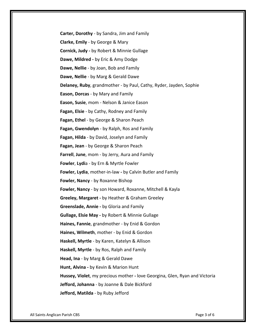**Carter, Dorothy** - by Sandra, Jim and Family **Clarke, Emily** - by George & Mary **Cornick, Judy -** by Robert & Minnie Gullage **Dawe, Mildred -** by Eric & Amy Dodge **Dawe, Nellie** - by Joan, Bob and Family **Dawe, Nellie** - by Marg & Gerald Dawe **Delaney, Ruby**, grandmother - by Paul, Cathy, Ryder, Jayden, Sophie **Eason, Dorcas** - by Mary and Family **Eason, Susie**, mom - Nelson & Janice Eason **Fagan, Elsie** - by Cathy, Rodney and Family **Fagan, Ethel** - by George & Sharon Peach **Fagan, Gwendolyn** - by Ralph, Ros and Family **Fagan, Hilda** - by David, Joselyn and Family **Fagan, Jean** - by George & Sharon Peach **Farrell**, **June**, mom - by Jerry, Aura and Family **Fowler**, **Lydi**a - by Ern & Myrtle Fowler **Fowler, Lydia**, mother-in-law **-** by Calvin Butler and Family **Fowler, Nancy** - by Roxanne Bishop **Fowler, Nancy** - by son Howard, Roxanne, Mitchell & Kayla **Greeley, Margaret -** by Heather & Graham Greeley **Greenslade, Annie -** by Gloria and Family **Gullage, Elsie May -** by Robert & Minnie Gullage **Haines, Fannie**, grandmother - by Enid & Gordon **Haines, Wilmeth**, mother - by Enid & Gordon **Haskell, Myrtle** - by Karen, Katelyn & Allison **Haskell, Myrtle** - by Ros, Ralph and Family **Head, Ina** - by Marg & Gerald Dawe **Hunt, Alvina -** by Kevin & Marion Hunt **Hussey, Violet**, my precious mother **-** love Georgina, Glen, Ryan and Victoria **Jefford, Johanna** - by Joanne & Dale Bickford **Jefford, Matilda** - by Ruby Jefford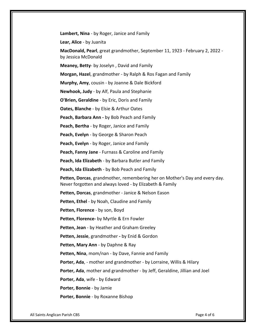**Lambert, Nina** - by Roger, Janice and Family

**Lear, Alice** - by Juanita

**MacDonald, Pearl**, great grandmother, September 11, 1923 - February 2, 2022 by Jessica McDonald

**Meaney, Betty**- by Joselyn , David and Family

**Morgan, Hazel**, grandmother - by Ralph & Ros Fagan and Family

**Murphy, Amy**, cousin - by Joanne & Dale Bickford

**Newhook, Judy** - by Alf, Paula and Stephanie

**O'Brien, Geraldine** - by Eric, Doris and Family

**Oates, Blanche** - by Elsie & Arthur Oates

**Peach, Barbara Ann -** by Bob Peach and Family

**Peach, Bertha** - by Roger, Janice and Family

**Peach, Evelyn** - by George & Sharon Peach

**Peach, Evelyn** - by Roger, Janice and Family

**Peach, Fanny Jane** - Furnass & Caroline and Family

**Peach, Ida Elizabeth** - by Barbara Butler and Family

**Peach, Ida Elizabeth** - by Bob Peach and Family

**Petten, Dorcas**, grandmother, remembering her on Mother's Day and every day. Never forgotten and always loved - by Elizabeth & Family

**Petten, Dorcas**, grandmother - Janice & Nelson Eason

**Petten, Ethel** - by Noah, Claudine and Family

**Petten, Florence** - by son, Boyd

**Petten, Florence-** by Myrtle & Ern Fowler

**Petten, Jean** - by Heather and Graham Greeley

**Petten, Jessie**, grandmother **-** by Enid & Gordon

**Petten, Mary Ann** - by Daphne & Ray

**Petten, Nina**, mom/nan - by Dave, Fannie and Family

**Porter, Ada**, - mother and grandmother - by Lorraine, Willis & Hilary

**Porter, Ada**, mother and grandmother - by Jeff, Geraldine, Jillian and Joel

**Porter, Ada**, wife - by Edward

**Porter, Bonnie** - by Jamie

**Porter, Bonnie** - by Roxanne Bishop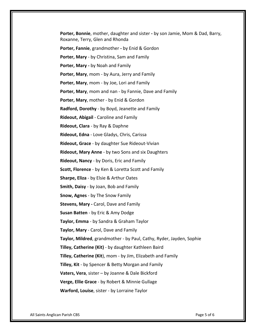**Porter, Bonnie**, mother, daughter and sister **-** by son Jamie, Mom & Dad, Barry, Roxanne, Terry, Glen and Rhonda **Porter, Fannie**, grandmother **-** by Enid & Gordon **Porter, Mary** - by Christina, Sam and Family **Porter, Mary -** by Noah and Family **Porter, Mary**, mom - by Aura, Jerry and Family **Porter, Mary**, mom - by Joe, Lori and Family **Porter, Mary**, mom and nan - by Fannie, Dave and Family **Porter, Mary**, mother - by Enid & Gordon **Radford, Dorothy** - by Boyd, Jeanette and Family **Rideout, Abigail** - Caroline and Family **Rideout, Clara** - by Ray & Daphne **Rideout, Edna** - Love Gladys, Chris, Carissa **Rideout, Grace** - by daughter Sue Rideout-Vivian **Rideout, Mary Anne** - by two Sons and six Daughters **Rideout, Nancy** - by Doris, Eric and Family **Scott, Florence** - by Ken & Loretta Scott and Family **Sharpe, Eliza** - by Elsie & Arthur Oates **Smith, Daisy** - by Joan, Bob and Family **Snow, Agnes** - by The Snow Family **Stevens, Mary -** Carol, Dave and Family **Susan Batten** - by Eric & Amy Dodge **Taylor, Emma** - by Sandra & Graham Taylor **Taylor, Mary** - Carol, Dave and Family **Taylor, Mildred**, grandmother - by Paul, Cathy, Ryder, Jayden, Sophie **Tilley, Catherine (Kit)** - by daughter Kathleen Baird **Tilley, Catherine (Kit**), mom - by Jim, Elizabeth and Family **Tilley, Kit** - by Spencer & Betty Morgan and Family **Vaters, Vera**, sister – by Joanne & Dale Bickford **Verge, Ellie Grace** - by Robert & Minnie Gullage **Warford, Louise**, sister - by Lorraine Taylor